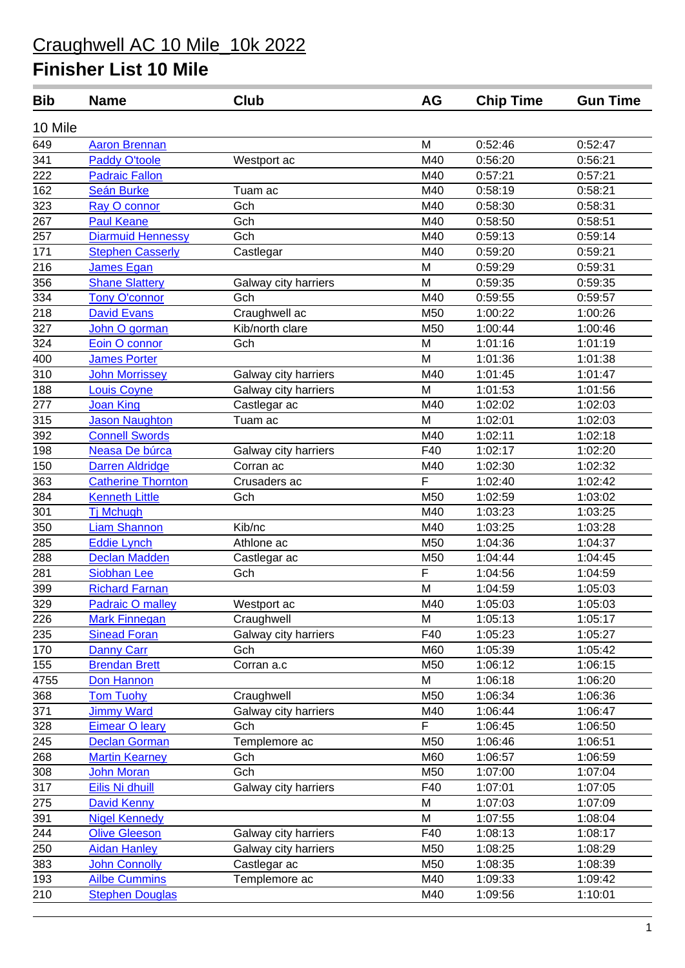| 10 Mile<br>649<br>M<br>0:52:46<br>0:52:47<br><b>Aaron Brennan</b><br>341<br><b>Paddy O'toole</b><br>M40<br>0:56:20<br>0:56:21<br>Westport ac<br>$\frac{1}{222}$<br>M40<br>0:57:21<br><b>Padraic Fallon</b><br>0:57:21<br>162<br>M40<br><b>Seán Burke</b><br>0:58:19<br>0:58:21<br>Tuam ac<br>323<br>M40<br>Gch<br>0:58:30<br>0:58:31<br>Ray O connor<br>267<br><b>Paul Keane</b><br>Gch<br>M40<br>0:58:50<br>0:58:51<br>M40<br>257<br>Gch<br><b>Diarmuid Hennessy</b><br>0:59:13<br>0:59:14<br>171<br>M40<br><b>Stephen Casserly</b><br>0:59:20<br>0:59:21<br>Castlegar<br>216<br>James Egan<br>M<br>0:59:29<br>0:59:31<br>356<br>M<br><b>Shane Slattery</b><br>0:59:35<br>0:59:35<br>Galway city harriers<br>$\frac{1}{334}$<br>M40<br><b>Tony O'connor</b><br>Gch<br>0:59:55<br>0:59:57<br>$\frac{1}{218}$<br>M50<br><b>David Evans</b><br>1:00:26<br>Craughwell ac<br>1:00:22<br>327<br>M50<br>Kib/north clare<br>1:00:44<br>1:00:46<br>John O gorman<br>324<br>1:01:16<br>1:01:19<br>Gch<br>M<br>Eoin O connor<br>400<br>M<br>1:01:36<br>1:01:38<br><b>James Porter</b><br>310<br>M40<br>1:01:45<br>1:01:47<br><b>John Morrissey</b><br>Galway city harriers<br>188<br>M<br>Louis Coyne<br>Galway city harriers<br>1:01:53<br>1:01:56<br>277<br>M40<br><b>Joan King</b><br>1:02:02<br>1:02:03<br>Castlegar ac<br>315<br><b>Jason Naughton</b><br>M<br>1:02:01<br>1:02:03<br>Tuam ac<br>392<br><b>Connell Swords</b><br>M40<br>1:02:11<br>1:02:18<br>198<br>Neasa De búrca<br>F40<br>1:02:20<br>Galway city harriers<br>1:02:17<br>150<br><b>Darren Aldridge</b><br>Corran ac<br>M40<br>1:02:30<br>1:02:32<br>F<br>363<br><b>Catherine Thornton</b><br>Crusaders ac<br>1:02:40<br>1:02:42<br>284<br><b>Kenneth Little</b><br>M50<br>1:02:59<br>1:03:02<br>Gch<br>301<br><b>Tj Mchugh</b><br>M40<br>1:03:23<br>1:03:25<br>350<br>M40<br><b>Liam Shannon</b><br>Kib/nc<br>1:03:25<br>1:03:28<br>285<br>M50<br><b>Eddie Lynch</b><br>Athlone ac<br>1:04:37<br>1:04:36<br>288<br>M50<br><b>Declan Madden</b><br>1:04:44<br>1:04:45<br>Castlegar ac<br>281<br>F<br><b>Siobhan Lee</b><br>1:04:56<br>1:04:59<br>Gch<br>399<br>M<br><b>Richard Farnan</b><br>1:04:59<br>1:05:03<br>329<br>M40<br>1:05:03<br>1:05:03<br><b>Padraic O malley</b><br>Westport ac<br>226<br>Craughwell<br>M<br>1:05:13<br>1:05:17<br><b>Mark Finnegan</b><br>235<br><b>Sinead Foran</b><br>Galway city harriers<br>F40<br>1:05:23<br>1:05:27<br>170<br>Danny Carr<br>Gch<br>M60<br>1:05:39<br>1:05:42<br>155<br><b>Brendan Brett</b><br>M50<br>1:06:12<br>1:06:15<br>Corran a.c<br>4755<br>M<br>1:06:18<br>1:06:20<br>Don Hannon<br>368<br>M50<br>1:06:34<br>1:06:36<br><b>Tom Tuohy</b><br>Craughwell<br>371<br><b>Jimmy Ward</b><br>M40<br>1:06:44<br>1:06:47<br>Galway city harriers<br>F<br>328<br>1:06:45<br><b>Eimear O leary</b><br>Gch<br>1:06:50<br>245<br>Templemore ac<br>M50<br><b>Declan Gorman</b><br>1:06:46<br>1:06:51<br>268<br>M60<br><b>Martin Kearney</b><br>Gch<br>1:06:57<br>1:06:59<br>308<br>Gch<br>M50<br>1:07:00<br>1:07:04<br><b>John Moran</b><br>317<br>Eilis Ni dhuill<br>F40<br>1:07:05<br>Galway city harriers<br>1:07:01<br>$\frac{275}{ }$<br>M<br>1:07:03<br>1:07:09<br><b>David Kenny</b><br>391<br><b>Nigel Kennedy</b><br>M<br>1:07:55<br>1:08:04<br>244<br><b>Olive Gleeson</b><br>F40<br>1:08:13<br>1:08:17<br>Galway city harriers<br>250<br><b>Aidan Hanley</b><br>M50<br>1:08:25<br>1:08:29<br>Galway city harriers<br>383<br><b>John Connolly</b><br>M50<br>Castlegar ac<br>1:08:35<br>1:08:39 | <b>Bib</b> | <b>Name</b>          | Club          | <b>AG</b> | <b>Chip Time</b> | <b>Gun Time</b> |
|--------------------------------------------------------------------------------------------------------------------------------------------------------------------------------------------------------------------------------------------------------------------------------------------------------------------------------------------------------------------------------------------------------------------------------------------------------------------------------------------------------------------------------------------------------------------------------------------------------------------------------------------------------------------------------------------------------------------------------------------------------------------------------------------------------------------------------------------------------------------------------------------------------------------------------------------------------------------------------------------------------------------------------------------------------------------------------------------------------------------------------------------------------------------------------------------------------------------------------------------------------------------------------------------------------------------------------------------------------------------------------------------------------------------------------------------------------------------------------------------------------------------------------------------------------------------------------------------------------------------------------------------------------------------------------------------------------------------------------------------------------------------------------------------------------------------------------------------------------------------------------------------------------------------------------------------------------------------------------------------------------------------------------------------------------------------------------------------------------------------------------------------------------------------------------------------------------------------------------------------------------------------------------------------------------------------------------------------------------------------------------------------------------------------------------------------------------------------------------------------------------------------------------------------------------------------------------------------------------------------------------------------------------------------------------------------------------------------------------------------------------------------------------------------------------------------------------------------------------------------------------------------------------------------------------------------------------------------------------------------------------------------------------------------------------------------------------------------------------------------------------------------------------------------------------------------------------------------------------------------------------------------------------------------------------------------------------------------------------------------------------------------------------------------------------------------------------------------------------------------------------------------|------------|----------------------|---------------|-----------|------------------|-----------------|
|                                                                                                                                                                                                                                                                                                                                                                                                                                                                                                                                                                                                                                                                                                                                                                                                                                                                                                                                                                                                                                                                                                                                                                                                                                                                                                                                                                                                                                                                                                                                                                                                                                                                                                                                                                                                                                                                                                                                                                                                                                                                                                                                                                                                                                                                                                                                                                                                                                                                                                                                                                                                                                                                                                                                                                                                                                                                                                                                                                                                                                                                                                                                                                                                                                                                                                                                                                                                                                                                                                                    |            |                      |               |           |                  |                 |
|                                                                                                                                                                                                                                                                                                                                                                                                                                                                                                                                                                                                                                                                                                                                                                                                                                                                                                                                                                                                                                                                                                                                                                                                                                                                                                                                                                                                                                                                                                                                                                                                                                                                                                                                                                                                                                                                                                                                                                                                                                                                                                                                                                                                                                                                                                                                                                                                                                                                                                                                                                                                                                                                                                                                                                                                                                                                                                                                                                                                                                                                                                                                                                                                                                                                                                                                                                                                                                                                                                                    |            |                      |               |           |                  |                 |
|                                                                                                                                                                                                                                                                                                                                                                                                                                                                                                                                                                                                                                                                                                                                                                                                                                                                                                                                                                                                                                                                                                                                                                                                                                                                                                                                                                                                                                                                                                                                                                                                                                                                                                                                                                                                                                                                                                                                                                                                                                                                                                                                                                                                                                                                                                                                                                                                                                                                                                                                                                                                                                                                                                                                                                                                                                                                                                                                                                                                                                                                                                                                                                                                                                                                                                                                                                                                                                                                                                                    |            |                      |               |           |                  |                 |
|                                                                                                                                                                                                                                                                                                                                                                                                                                                                                                                                                                                                                                                                                                                                                                                                                                                                                                                                                                                                                                                                                                                                                                                                                                                                                                                                                                                                                                                                                                                                                                                                                                                                                                                                                                                                                                                                                                                                                                                                                                                                                                                                                                                                                                                                                                                                                                                                                                                                                                                                                                                                                                                                                                                                                                                                                                                                                                                                                                                                                                                                                                                                                                                                                                                                                                                                                                                                                                                                                                                    |            |                      |               |           |                  |                 |
|                                                                                                                                                                                                                                                                                                                                                                                                                                                                                                                                                                                                                                                                                                                                                                                                                                                                                                                                                                                                                                                                                                                                                                                                                                                                                                                                                                                                                                                                                                                                                                                                                                                                                                                                                                                                                                                                                                                                                                                                                                                                                                                                                                                                                                                                                                                                                                                                                                                                                                                                                                                                                                                                                                                                                                                                                                                                                                                                                                                                                                                                                                                                                                                                                                                                                                                                                                                                                                                                                                                    |            |                      |               |           |                  |                 |
|                                                                                                                                                                                                                                                                                                                                                                                                                                                                                                                                                                                                                                                                                                                                                                                                                                                                                                                                                                                                                                                                                                                                                                                                                                                                                                                                                                                                                                                                                                                                                                                                                                                                                                                                                                                                                                                                                                                                                                                                                                                                                                                                                                                                                                                                                                                                                                                                                                                                                                                                                                                                                                                                                                                                                                                                                                                                                                                                                                                                                                                                                                                                                                                                                                                                                                                                                                                                                                                                                                                    |            |                      |               |           |                  |                 |
|                                                                                                                                                                                                                                                                                                                                                                                                                                                                                                                                                                                                                                                                                                                                                                                                                                                                                                                                                                                                                                                                                                                                                                                                                                                                                                                                                                                                                                                                                                                                                                                                                                                                                                                                                                                                                                                                                                                                                                                                                                                                                                                                                                                                                                                                                                                                                                                                                                                                                                                                                                                                                                                                                                                                                                                                                                                                                                                                                                                                                                                                                                                                                                                                                                                                                                                                                                                                                                                                                                                    |            |                      |               |           |                  |                 |
|                                                                                                                                                                                                                                                                                                                                                                                                                                                                                                                                                                                                                                                                                                                                                                                                                                                                                                                                                                                                                                                                                                                                                                                                                                                                                                                                                                                                                                                                                                                                                                                                                                                                                                                                                                                                                                                                                                                                                                                                                                                                                                                                                                                                                                                                                                                                                                                                                                                                                                                                                                                                                                                                                                                                                                                                                                                                                                                                                                                                                                                                                                                                                                                                                                                                                                                                                                                                                                                                                                                    |            |                      |               |           |                  |                 |
|                                                                                                                                                                                                                                                                                                                                                                                                                                                                                                                                                                                                                                                                                                                                                                                                                                                                                                                                                                                                                                                                                                                                                                                                                                                                                                                                                                                                                                                                                                                                                                                                                                                                                                                                                                                                                                                                                                                                                                                                                                                                                                                                                                                                                                                                                                                                                                                                                                                                                                                                                                                                                                                                                                                                                                                                                                                                                                                                                                                                                                                                                                                                                                                                                                                                                                                                                                                                                                                                                                                    |            |                      |               |           |                  |                 |
|                                                                                                                                                                                                                                                                                                                                                                                                                                                                                                                                                                                                                                                                                                                                                                                                                                                                                                                                                                                                                                                                                                                                                                                                                                                                                                                                                                                                                                                                                                                                                                                                                                                                                                                                                                                                                                                                                                                                                                                                                                                                                                                                                                                                                                                                                                                                                                                                                                                                                                                                                                                                                                                                                                                                                                                                                                                                                                                                                                                                                                                                                                                                                                                                                                                                                                                                                                                                                                                                                                                    |            |                      |               |           |                  |                 |
|                                                                                                                                                                                                                                                                                                                                                                                                                                                                                                                                                                                                                                                                                                                                                                                                                                                                                                                                                                                                                                                                                                                                                                                                                                                                                                                                                                                                                                                                                                                                                                                                                                                                                                                                                                                                                                                                                                                                                                                                                                                                                                                                                                                                                                                                                                                                                                                                                                                                                                                                                                                                                                                                                                                                                                                                                                                                                                                                                                                                                                                                                                                                                                                                                                                                                                                                                                                                                                                                                                                    |            |                      |               |           |                  |                 |
|                                                                                                                                                                                                                                                                                                                                                                                                                                                                                                                                                                                                                                                                                                                                                                                                                                                                                                                                                                                                                                                                                                                                                                                                                                                                                                                                                                                                                                                                                                                                                                                                                                                                                                                                                                                                                                                                                                                                                                                                                                                                                                                                                                                                                                                                                                                                                                                                                                                                                                                                                                                                                                                                                                                                                                                                                                                                                                                                                                                                                                                                                                                                                                                                                                                                                                                                                                                                                                                                                                                    |            |                      |               |           |                  |                 |
|                                                                                                                                                                                                                                                                                                                                                                                                                                                                                                                                                                                                                                                                                                                                                                                                                                                                                                                                                                                                                                                                                                                                                                                                                                                                                                                                                                                                                                                                                                                                                                                                                                                                                                                                                                                                                                                                                                                                                                                                                                                                                                                                                                                                                                                                                                                                                                                                                                                                                                                                                                                                                                                                                                                                                                                                                                                                                                                                                                                                                                                                                                                                                                                                                                                                                                                                                                                                                                                                                                                    |            |                      |               |           |                  |                 |
|                                                                                                                                                                                                                                                                                                                                                                                                                                                                                                                                                                                                                                                                                                                                                                                                                                                                                                                                                                                                                                                                                                                                                                                                                                                                                                                                                                                                                                                                                                                                                                                                                                                                                                                                                                                                                                                                                                                                                                                                                                                                                                                                                                                                                                                                                                                                                                                                                                                                                                                                                                                                                                                                                                                                                                                                                                                                                                                                                                                                                                                                                                                                                                                                                                                                                                                                                                                                                                                                                                                    |            |                      |               |           |                  |                 |
|                                                                                                                                                                                                                                                                                                                                                                                                                                                                                                                                                                                                                                                                                                                                                                                                                                                                                                                                                                                                                                                                                                                                                                                                                                                                                                                                                                                                                                                                                                                                                                                                                                                                                                                                                                                                                                                                                                                                                                                                                                                                                                                                                                                                                                                                                                                                                                                                                                                                                                                                                                                                                                                                                                                                                                                                                                                                                                                                                                                                                                                                                                                                                                                                                                                                                                                                                                                                                                                                                                                    |            |                      |               |           |                  |                 |
|                                                                                                                                                                                                                                                                                                                                                                                                                                                                                                                                                                                                                                                                                                                                                                                                                                                                                                                                                                                                                                                                                                                                                                                                                                                                                                                                                                                                                                                                                                                                                                                                                                                                                                                                                                                                                                                                                                                                                                                                                                                                                                                                                                                                                                                                                                                                                                                                                                                                                                                                                                                                                                                                                                                                                                                                                                                                                                                                                                                                                                                                                                                                                                                                                                                                                                                                                                                                                                                                                                                    |            |                      |               |           |                  |                 |
|                                                                                                                                                                                                                                                                                                                                                                                                                                                                                                                                                                                                                                                                                                                                                                                                                                                                                                                                                                                                                                                                                                                                                                                                                                                                                                                                                                                                                                                                                                                                                                                                                                                                                                                                                                                                                                                                                                                                                                                                                                                                                                                                                                                                                                                                                                                                                                                                                                                                                                                                                                                                                                                                                                                                                                                                                                                                                                                                                                                                                                                                                                                                                                                                                                                                                                                                                                                                                                                                                                                    |            |                      |               |           |                  |                 |
|                                                                                                                                                                                                                                                                                                                                                                                                                                                                                                                                                                                                                                                                                                                                                                                                                                                                                                                                                                                                                                                                                                                                                                                                                                                                                                                                                                                                                                                                                                                                                                                                                                                                                                                                                                                                                                                                                                                                                                                                                                                                                                                                                                                                                                                                                                                                                                                                                                                                                                                                                                                                                                                                                                                                                                                                                                                                                                                                                                                                                                                                                                                                                                                                                                                                                                                                                                                                                                                                                                                    |            |                      |               |           |                  |                 |
|                                                                                                                                                                                                                                                                                                                                                                                                                                                                                                                                                                                                                                                                                                                                                                                                                                                                                                                                                                                                                                                                                                                                                                                                                                                                                                                                                                                                                                                                                                                                                                                                                                                                                                                                                                                                                                                                                                                                                                                                                                                                                                                                                                                                                                                                                                                                                                                                                                                                                                                                                                                                                                                                                                                                                                                                                                                                                                                                                                                                                                                                                                                                                                                                                                                                                                                                                                                                                                                                                                                    |            |                      |               |           |                  |                 |
|                                                                                                                                                                                                                                                                                                                                                                                                                                                                                                                                                                                                                                                                                                                                                                                                                                                                                                                                                                                                                                                                                                                                                                                                                                                                                                                                                                                                                                                                                                                                                                                                                                                                                                                                                                                                                                                                                                                                                                                                                                                                                                                                                                                                                                                                                                                                                                                                                                                                                                                                                                                                                                                                                                                                                                                                                                                                                                                                                                                                                                                                                                                                                                                                                                                                                                                                                                                                                                                                                                                    |            |                      |               |           |                  |                 |
|                                                                                                                                                                                                                                                                                                                                                                                                                                                                                                                                                                                                                                                                                                                                                                                                                                                                                                                                                                                                                                                                                                                                                                                                                                                                                                                                                                                                                                                                                                                                                                                                                                                                                                                                                                                                                                                                                                                                                                                                                                                                                                                                                                                                                                                                                                                                                                                                                                                                                                                                                                                                                                                                                                                                                                                                                                                                                                                                                                                                                                                                                                                                                                                                                                                                                                                                                                                                                                                                                                                    |            |                      |               |           |                  |                 |
|                                                                                                                                                                                                                                                                                                                                                                                                                                                                                                                                                                                                                                                                                                                                                                                                                                                                                                                                                                                                                                                                                                                                                                                                                                                                                                                                                                                                                                                                                                                                                                                                                                                                                                                                                                                                                                                                                                                                                                                                                                                                                                                                                                                                                                                                                                                                                                                                                                                                                                                                                                                                                                                                                                                                                                                                                                                                                                                                                                                                                                                                                                                                                                                                                                                                                                                                                                                                                                                                                                                    |            |                      |               |           |                  |                 |
|                                                                                                                                                                                                                                                                                                                                                                                                                                                                                                                                                                                                                                                                                                                                                                                                                                                                                                                                                                                                                                                                                                                                                                                                                                                                                                                                                                                                                                                                                                                                                                                                                                                                                                                                                                                                                                                                                                                                                                                                                                                                                                                                                                                                                                                                                                                                                                                                                                                                                                                                                                                                                                                                                                                                                                                                                                                                                                                                                                                                                                                                                                                                                                                                                                                                                                                                                                                                                                                                                                                    |            |                      |               |           |                  |                 |
|                                                                                                                                                                                                                                                                                                                                                                                                                                                                                                                                                                                                                                                                                                                                                                                                                                                                                                                                                                                                                                                                                                                                                                                                                                                                                                                                                                                                                                                                                                                                                                                                                                                                                                                                                                                                                                                                                                                                                                                                                                                                                                                                                                                                                                                                                                                                                                                                                                                                                                                                                                                                                                                                                                                                                                                                                                                                                                                                                                                                                                                                                                                                                                                                                                                                                                                                                                                                                                                                                                                    |            |                      |               |           |                  |                 |
|                                                                                                                                                                                                                                                                                                                                                                                                                                                                                                                                                                                                                                                                                                                                                                                                                                                                                                                                                                                                                                                                                                                                                                                                                                                                                                                                                                                                                                                                                                                                                                                                                                                                                                                                                                                                                                                                                                                                                                                                                                                                                                                                                                                                                                                                                                                                                                                                                                                                                                                                                                                                                                                                                                                                                                                                                                                                                                                                                                                                                                                                                                                                                                                                                                                                                                                                                                                                                                                                                                                    |            |                      |               |           |                  |                 |
|                                                                                                                                                                                                                                                                                                                                                                                                                                                                                                                                                                                                                                                                                                                                                                                                                                                                                                                                                                                                                                                                                                                                                                                                                                                                                                                                                                                                                                                                                                                                                                                                                                                                                                                                                                                                                                                                                                                                                                                                                                                                                                                                                                                                                                                                                                                                                                                                                                                                                                                                                                                                                                                                                                                                                                                                                                                                                                                                                                                                                                                                                                                                                                                                                                                                                                                                                                                                                                                                                                                    |            |                      |               |           |                  |                 |
|                                                                                                                                                                                                                                                                                                                                                                                                                                                                                                                                                                                                                                                                                                                                                                                                                                                                                                                                                                                                                                                                                                                                                                                                                                                                                                                                                                                                                                                                                                                                                                                                                                                                                                                                                                                                                                                                                                                                                                                                                                                                                                                                                                                                                                                                                                                                                                                                                                                                                                                                                                                                                                                                                                                                                                                                                                                                                                                                                                                                                                                                                                                                                                                                                                                                                                                                                                                                                                                                                                                    |            |                      |               |           |                  |                 |
|                                                                                                                                                                                                                                                                                                                                                                                                                                                                                                                                                                                                                                                                                                                                                                                                                                                                                                                                                                                                                                                                                                                                                                                                                                                                                                                                                                                                                                                                                                                                                                                                                                                                                                                                                                                                                                                                                                                                                                                                                                                                                                                                                                                                                                                                                                                                                                                                                                                                                                                                                                                                                                                                                                                                                                                                                                                                                                                                                                                                                                                                                                                                                                                                                                                                                                                                                                                                                                                                                                                    |            |                      |               |           |                  |                 |
|                                                                                                                                                                                                                                                                                                                                                                                                                                                                                                                                                                                                                                                                                                                                                                                                                                                                                                                                                                                                                                                                                                                                                                                                                                                                                                                                                                                                                                                                                                                                                                                                                                                                                                                                                                                                                                                                                                                                                                                                                                                                                                                                                                                                                                                                                                                                                                                                                                                                                                                                                                                                                                                                                                                                                                                                                                                                                                                                                                                                                                                                                                                                                                                                                                                                                                                                                                                                                                                                                                                    |            |                      |               |           |                  |                 |
|                                                                                                                                                                                                                                                                                                                                                                                                                                                                                                                                                                                                                                                                                                                                                                                                                                                                                                                                                                                                                                                                                                                                                                                                                                                                                                                                                                                                                                                                                                                                                                                                                                                                                                                                                                                                                                                                                                                                                                                                                                                                                                                                                                                                                                                                                                                                                                                                                                                                                                                                                                                                                                                                                                                                                                                                                                                                                                                                                                                                                                                                                                                                                                                                                                                                                                                                                                                                                                                                                                                    |            |                      |               |           |                  |                 |
|                                                                                                                                                                                                                                                                                                                                                                                                                                                                                                                                                                                                                                                                                                                                                                                                                                                                                                                                                                                                                                                                                                                                                                                                                                                                                                                                                                                                                                                                                                                                                                                                                                                                                                                                                                                                                                                                                                                                                                                                                                                                                                                                                                                                                                                                                                                                                                                                                                                                                                                                                                                                                                                                                                                                                                                                                                                                                                                                                                                                                                                                                                                                                                                                                                                                                                                                                                                                                                                                                                                    |            |                      |               |           |                  |                 |
|                                                                                                                                                                                                                                                                                                                                                                                                                                                                                                                                                                                                                                                                                                                                                                                                                                                                                                                                                                                                                                                                                                                                                                                                                                                                                                                                                                                                                                                                                                                                                                                                                                                                                                                                                                                                                                                                                                                                                                                                                                                                                                                                                                                                                                                                                                                                                                                                                                                                                                                                                                                                                                                                                                                                                                                                                                                                                                                                                                                                                                                                                                                                                                                                                                                                                                                                                                                                                                                                                                                    |            |                      |               |           |                  |                 |
|                                                                                                                                                                                                                                                                                                                                                                                                                                                                                                                                                                                                                                                                                                                                                                                                                                                                                                                                                                                                                                                                                                                                                                                                                                                                                                                                                                                                                                                                                                                                                                                                                                                                                                                                                                                                                                                                                                                                                                                                                                                                                                                                                                                                                                                                                                                                                                                                                                                                                                                                                                                                                                                                                                                                                                                                                                                                                                                                                                                                                                                                                                                                                                                                                                                                                                                                                                                                                                                                                                                    |            |                      |               |           |                  |                 |
|                                                                                                                                                                                                                                                                                                                                                                                                                                                                                                                                                                                                                                                                                                                                                                                                                                                                                                                                                                                                                                                                                                                                                                                                                                                                                                                                                                                                                                                                                                                                                                                                                                                                                                                                                                                                                                                                                                                                                                                                                                                                                                                                                                                                                                                                                                                                                                                                                                                                                                                                                                                                                                                                                                                                                                                                                                                                                                                                                                                                                                                                                                                                                                                                                                                                                                                                                                                                                                                                                                                    |            |                      |               |           |                  |                 |
|                                                                                                                                                                                                                                                                                                                                                                                                                                                                                                                                                                                                                                                                                                                                                                                                                                                                                                                                                                                                                                                                                                                                                                                                                                                                                                                                                                                                                                                                                                                                                                                                                                                                                                                                                                                                                                                                                                                                                                                                                                                                                                                                                                                                                                                                                                                                                                                                                                                                                                                                                                                                                                                                                                                                                                                                                                                                                                                                                                                                                                                                                                                                                                                                                                                                                                                                                                                                                                                                                                                    |            |                      |               |           |                  |                 |
|                                                                                                                                                                                                                                                                                                                                                                                                                                                                                                                                                                                                                                                                                                                                                                                                                                                                                                                                                                                                                                                                                                                                                                                                                                                                                                                                                                                                                                                                                                                                                                                                                                                                                                                                                                                                                                                                                                                                                                                                                                                                                                                                                                                                                                                                                                                                                                                                                                                                                                                                                                                                                                                                                                                                                                                                                                                                                                                                                                                                                                                                                                                                                                                                                                                                                                                                                                                                                                                                                                                    |            |                      |               |           |                  |                 |
|                                                                                                                                                                                                                                                                                                                                                                                                                                                                                                                                                                                                                                                                                                                                                                                                                                                                                                                                                                                                                                                                                                                                                                                                                                                                                                                                                                                                                                                                                                                                                                                                                                                                                                                                                                                                                                                                                                                                                                                                                                                                                                                                                                                                                                                                                                                                                                                                                                                                                                                                                                                                                                                                                                                                                                                                                                                                                                                                                                                                                                                                                                                                                                                                                                                                                                                                                                                                                                                                                                                    |            |                      |               |           |                  |                 |
|                                                                                                                                                                                                                                                                                                                                                                                                                                                                                                                                                                                                                                                                                                                                                                                                                                                                                                                                                                                                                                                                                                                                                                                                                                                                                                                                                                                                                                                                                                                                                                                                                                                                                                                                                                                                                                                                                                                                                                                                                                                                                                                                                                                                                                                                                                                                                                                                                                                                                                                                                                                                                                                                                                                                                                                                                                                                                                                                                                                                                                                                                                                                                                                                                                                                                                                                                                                                                                                                                                                    |            |                      |               |           |                  |                 |
|                                                                                                                                                                                                                                                                                                                                                                                                                                                                                                                                                                                                                                                                                                                                                                                                                                                                                                                                                                                                                                                                                                                                                                                                                                                                                                                                                                                                                                                                                                                                                                                                                                                                                                                                                                                                                                                                                                                                                                                                                                                                                                                                                                                                                                                                                                                                                                                                                                                                                                                                                                                                                                                                                                                                                                                                                                                                                                                                                                                                                                                                                                                                                                                                                                                                                                                                                                                                                                                                                                                    |            |                      |               |           |                  |                 |
|                                                                                                                                                                                                                                                                                                                                                                                                                                                                                                                                                                                                                                                                                                                                                                                                                                                                                                                                                                                                                                                                                                                                                                                                                                                                                                                                                                                                                                                                                                                                                                                                                                                                                                                                                                                                                                                                                                                                                                                                                                                                                                                                                                                                                                                                                                                                                                                                                                                                                                                                                                                                                                                                                                                                                                                                                                                                                                                                                                                                                                                                                                                                                                                                                                                                                                                                                                                                                                                                                                                    |            |                      |               |           |                  |                 |
|                                                                                                                                                                                                                                                                                                                                                                                                                                                                                                                                                                                                                                                                                                                                                                                                                                                                                                                                                                                                                                                                                                                                                                                                                                                                                                                                                                                                                                                                                                                                                                                                                                                                                                                                                                                                                                                                                                                                                                                                                                                                                                                                                                                                                                                                                                                                                                                                                                                                                                                                                                                                                                                                                                                                                                                                                                                                                                                                                                                                                                                                                                                                                                                                                                                                                                                                                                                                                                                                                                                    |            |                      |               |           |                  |                 |
|                                                                                                                                                                                                                                                                                                                                                                                                                                                                                                                                                                                                                                                                                                                                                                                                                                                                                                                                                                                                                                                                                                                                                                                                                                                                                                                                                                                                                                                                                                                                                                                                                                                                                                                                                                                                                                                                                                                                                                                                                                                                                                                                                                                                                                                                                                                                                                                                                                                                                                                                                                                                                                                                                                                                                                                                                                                                                                                                                                                                                                                                                                                                                                                                                                                                                                                                                                                                                                                                                                                    |            |                      |               |           |                  |                 |
|                                                                                                                                                                                                                                                                                                                                                                                                                                                                                                                                                                                                                                                                                                                                                                                                                                                                                                                                                                                                                                                                                                                                                                                                                                                                                                                                                                                                                                                                                                                                                                                                                                                                                                                                                                                                                                                                                                                                                                                                                                                                                                                                                                                                                                                                                                                                                                                                                                                                                                                                                                                                                                                                                                                                                                                                                                                                                                                                                                                                                                                                                                                                                                                                                                                                                                                                                                                                                                                                                                                    |            |                      |               |           |                  |                 |
|                                                                                                                                                                                                                                                                                                                                                                                                                                                                                                                                                                                                                                                                                                                                                                                                                                                                                                                                                                                                                                                                                                                                                                                                                                                                                                                                                                                                                                                                                                                                                                                                                                                                                                                                                                                                                                                                                                                                                                                                                                                                                                                                                                                                                                                                                                                                                                                                                                                                                                                                                                                                                                                                                                                                                                                                                                                                                                                                                                                                                                                                                                                                                                                                                                                                                                                                                                                                                                                                                                                    |            |                      |               |           |                  |                 |
|                                                                                                                                                                                                                                                                                                                                                                                                                                                                                                                                                                                                                                                                                                                                                                                                                                                                                                                                                                                                                                                                                                                                                                                                                                                                                                                                                                                                                                                                                                                                                                                                                                                                                                                                                                                                                                                                                                                                                                                                                                                                                                                                                                                                                                                                                                                                                                                                                                                                                                                                                                                                                                                                                                                                                                                                                                                                                                                                                                                                                                                                                                                                                                                                                                                                                                                                                                                                                                                                                                                    |            |                      |               |           |                  |                 |
|                                                                                                                                                                                                                                                                                                                                                                                                                                                                                                                                                                                                                                                                                                                                                                                                                                                                                                                                                                                                                                                                                                                                                                                                                                                                                                                                                                                                                                                                                                                                                                                                                                                                                                                                                                                                                                                                                                                                                                                                                                                                                                                                                                                                                                                                                                                                                                                                                                                                                                                                                                                                                                                                                                                                                                                                                                                                                                                                                                                                                                                                                                                                                                                                                                                                                                                                                                                                                                                                                                                    |            |                      |               |           |                  |                 |
|                                                                                                                                                                                                                                                                                                                                                                                                                                                                                                                                                                                                                                                                                                                                                                                                                                                                                                                                                                                                                                                                                                                                                                                                                                                                                                                                                                                                                                                                                                                                                                                                                                                                                                                                                                                                                                                                                                                                                                                                                                                                                                                                                                                                                                                                                                                                                                                                                                                                                                                                                                                                                                                                                                                                                                                                                                                                                                                                                                                                                                                                                                                                                                                                                                                                                                                                                                                                                                                                                                                    |            |                      |               |           |                  |                 |
|                                                                                                                                                                                                                                                                                                                                                                                                                                                                                                                                                                                                                                                                                                                                                                                                                                                                                                                                                                                                                                                                                                                                                                                                                                                                                                                                                                                                                                                                                                                                                                                                                                                                                                                                                                                                                                                                                                                                                                                                                                                                                                                                                                                                                                                                                                                                                                                                                                                                                                                                                                                                                                                                                                                                                                                                                                                                                                                                                                                                                                                                                                                                                                                                                                                                                                                                                                                                                                                                                                                    |            |                      |               |           |                  |                 |
|                                                                                                                                                                                                                                                                                                                                                                                                                                                                                                                                                                                                                                                                                                                                                                                                                                                                                                                                                                                                                                                                                                                                                                                                                                                                                                                                                                                                                                                                                                                                                                                                                                                                                                                                                                                                                                                                                                                                                                                                                                                                                                                                                                                                                                                                                                                                                                                                                                                                                                                                                                                                                                                                                                                                                                                                                                                                                                                                                                                                                                                                                                                                                                                                                                                                                                                                                                                                                                                                                                                    |            |                      |               |           |                  |                 |
|                                                                                                                                                                                                                                                                                                                                                                                                                                                                                                                                                                                                                                                                                                                                                                                                                                                                                                                                                                                                                                                                                                                                                                                                                                                                                                                                                                                                                                                                                                                                                                                                                                                                                                                                                                                                                                                                                                                                                                                                                                                                                                                                                                                                                                                                                                                                                                                                                                                                                                                                                                                                                                                                                                                                                                                                                                                                                                                                                                                                                                                                                                                                                                                                                                                                                                                                                                                                                                                                                                                    | 193        | <b>Ailbe Cummins</b> | Templemore ac | M40       | 1:09:33          | 1:09:42         |
| 210<br><b>Stephen Douglas</b><br>M40<br>1:10:01<br>1:09:56                                                                                                                                                                                                                                                                                                                                                                                                                                                                                                                                                                                                                                                                                                                                                                                                                                                                                                                                                                                                                                                                                                                                                                                                                                                                                                                                                                                                                                                                                                                                                                                                                                                                                                                                                                                                                                                                                                                                                                                                                                                                                                                                                                                                                                                                                                                                                                                                                                                                                                                                                                                                                                                                                                                                                                                                                                                                                                                                                                                                                                                                                                                                                                                                                                                                                                                                                                                                                                                         |            |                      |               |           |                  |                 |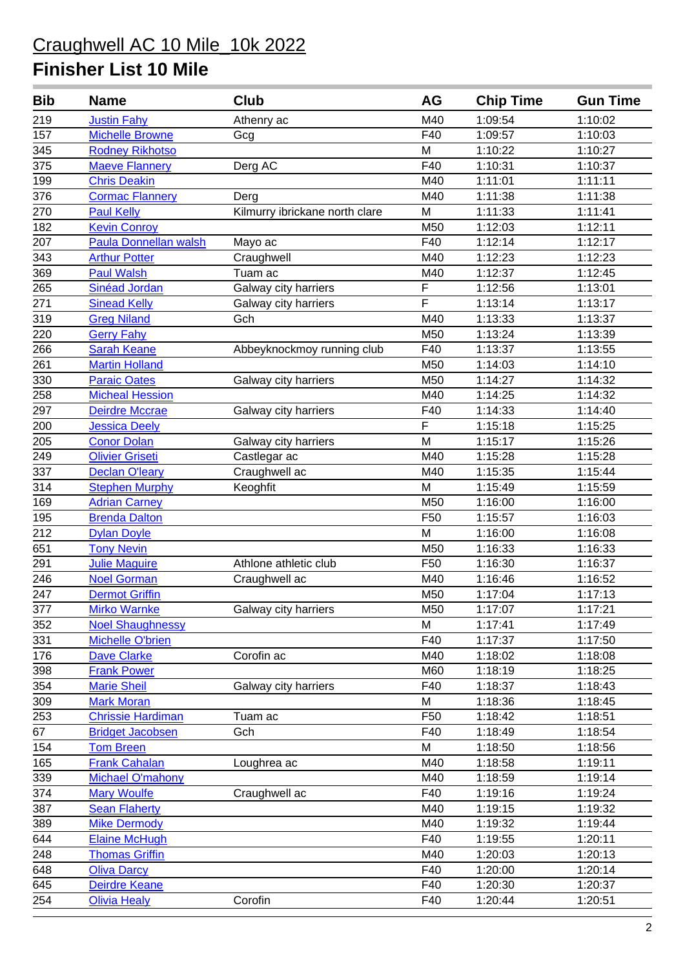| <b>Bib</b>       | <b>Name</b>                  | Club                           | <b>AG</b>       | <b>Chip Time</b> | <b>Gun Time</b> |
|------------------|------------------------------|--------------------------------|-----------------|------------------|-----------------|
| 219              | <b>Justin Fahy</b>           | Athenry ac                     | M40             | 1:09:54          | 1:10:02         |
| 157              | <b>Michelle Browne</b>       | Gcg                            | F40             | 1:09:57          | 1:10:03         |
| 345              | <b>Rodney Rikhotso</b>       |                                | M               | 1:10:22          | 1:10:27         |
| 375              | <b>Maeve Flannery</b>        | Derg AC                        | F40             | 1:10:31          | 1:10:37         |
| 199              | <b>Chris Deakin</b>          |                                | M40             | 1:11:01          | 1:11:11         |
| 376              | <b>Cormac Flannery</b>       | Derg                           | M40             | 1:11:38          | 1:11:38         |
| 270              | <b>Paul Kelly</b>            | Kilmurry ibrickane north clare | M               | 1:11:33          | 1:11:41         |
| 182              | <b>Kevin Conroy</b>          |                                | M50             | 1:12:03          | 1:12:11         |
| 207              | <b>Paula Donnellan walsh</b> | Mayo ac                        | F40             | 1:12:14          | 1:12:17         |
| 343              | <b>Arthur Potter</b>         | Craughwell                     | M40             | 1:12:23          | 1:12:23         |
| 369              | <b>Paul Walsh</b>            | Tuam ac                        | M40             | 1:12:37          | 1:12:45         |
| 265              | Sinéad Jordan                | Galway city harriers           | $\mathsf F$     | 1:12:56          | 1:13:01         |
| 271              | <b>Sinead Kelly</b>          | Galway city harriers           | F               | 1:13:14          | 1:13:17         |
| 319              | <b>Greg Niland</b>           | Gch                            | M40             | 1:13:33          | 1:13:37         |
| 220              | <b>Gerry Fahy</b>            |                                | M50             | 1:13:24          | 1:13:39         |
| 266              | <b>Sarah Keane</b>           | Abbeyknockmoy running club     | F40             | 1:13:37          | 1:13:55         |
| 261              | <b>Martin Holland</b>        |                                | M50             | 1:14:03          | 1:14:10         |
| 330              | <b>Paraic Oates</b>          | Galway city harriers           | M50             | 1:14:27          | 1:14:32         |
| 258              | <b>Micheal Hession</b>       |                                | M40             | 1:14:25          | 1:14:32         |
| 297              | Deirdre Mccrae               | Galway city harriers           | F40             | 1:14:33          | 1:14:40         |
| 200              | <b>Jessica Deely</b>         |                                | $\mathsf F$     | 1:15:18          | 1:15:25         |
| 205              | <b>Conor Dolan</b>           | Galway city harriers           | M               | 1:15:17          | 1:15:26         |
| 249              | <b>Olivier Griseti</b>       | Castlegar ac                   | M40             | 1:15:28          | 1:15:28         |
| 337              | <b>Declan O'leary</b>        | Craughwell ac                  | M40             | 1:15:35          | 1:15:44         |
| 314              | <b>Stephen Murphy</b>        | Keoghfit                       | M               | 1:15:49          | 1:15:59         |
| 169              | <b>Adrian Carney</b>         |                                | M50             | 1:16:00          | 1:16:00         |
| 195              | <b>Brenda Dalton</b>         |                                | F <sub>50</sub> | 1:15:57          | 1:16:03         |
| $\overline{212}$ | <b>Dylan Doyle</b>           |                                | M               | 1:16:00          | 1:16:08         |
| 651              | <b>Tony Nevin</b>            |                                | M50             | 1:16:33          | 1:16:33         |
| 291              | <b>Julie Maguire</b>         | Athlone athletic club          | F <sub>50</sub> | 1:16:30          | 1:16:37         |
| 246              | <b>Noel Gorman</b>           | Craughwell ac                  | M40             | 1:16:46          | 1:16:52         |
| 247              | <b>Dermot Griffin</b>        |                                | M50             | 1:17:04          | 1:17:13         |
| 377              | <b>Mirko Warnke</b>          | Galway city harriers           | M50             | 1:17:07          | 1:17:21         |
| 352              | <b>Noel Shaughnessy</b>      |                                | M               | 1:17:41          | 1:17:49         |
| 331              | <b>Michelle O'brien</b>      |                                | F40             | 1:17:37          | 1:17:50         |
| 176              | <b>Dave Clarke</b>           | Corofin ac                     | M40             | 1:18:02          | 1:18:08         |
| 398              | <b>Frank Power</b>           |                                | M60             | 1:18:19          | 1:18:25         |
| 354              | <b>Marie Sheil</b>           | Galway city harriers           | F40             | 1:18:37          | 1:18:43         |
| 309              | <b>Mark Moran</b>            |                                | M               | 1:18:36          | 1:18:45         |
| 253              | <b>Chrissie Hardiman</b>     | Tuam ac                        | F <sub>50</sub> | 1:18:42          | 1:18:51         |
| 67               | <b>Bridget Jacobsen</b>      | Gch                            | F40             | 1:18:49          | 1:18:54         |
| 154              | <b>Tom Breen</b>             |                                | M               | 1:18:50          | 1:18:56         |
| 165              | <b>Frank Cahalan</b>         | Loughrea ac                    | M40             | 1:18:58          | 1:19:11         |
| 339              | <b>Michael O'mahony</b>      |                                | M40             | 1:18:59          | 1:19:14         |
| 374              | <b>Mary Woulfe</b>           | Craughwell ac                  | F40             | 1:19:16          | 1:19:24         |
| 387              | <b>Sean Flaherty</b>         |                                | M40             | 1:19:15          | 1:19:32         |
| 389              | <b>Mike Dermody</b>          |                                | M40             | 1:19:32          | 1:19:44         |
| 644              | <b>Elaine McHugh</b>         |                                | F40             | 1:19:55          | 1:20:11         |
| 248              | <b>Thomas Griffin</b>        |                                | M40             | 1:20:03          | 1:20:13         |
| 648              | <b>Oliva Darcy</b>           |                                | F40             | 1:20:00          | 1:20:14         |
| 645              | Deirdre Keane                |                                | F40             | 1:20:30          | 1:20:37         |
| 254              | <b>Olivia Healy</b>          | Corofin                        | F40             | 1:20:44          | 1:20:51         |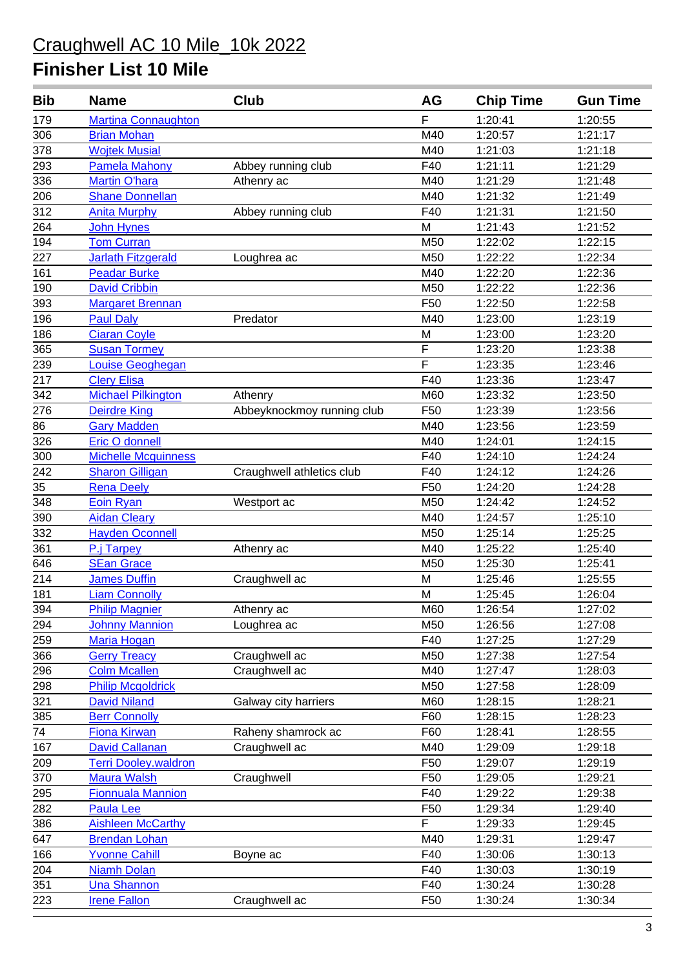| Bib | <b>Name</b>                 | Club                       | AG              | <b>Chip Time</b> | <b>Gun Time</b> |
|-----|-----------------------------|----------------------------|-----------------|------------------|-----------------|
| 179 | <b>Martina Connaughton</b>  |                            | F               | 1:20:41          | 1:20:55         |
| 306 | <b>Brian Mohan</b>          |                            | M40             | 1:20:57          | 1:21:17         |
| 378 | <b>Wojtek Musial</b>        |                            | M40             | 1:21:03          | 1:21:18         |
| 293 | <b>Pamela Mahony</b>        | Abbey running club         | F40             | 1:21:11          | 1:21:29         |
| 336 | <b>Martin O'hara</b>        | Athenry ac                 | M40             | 1:21:29          | 1:21:48         |
| 206 | <b>Shane Donnellan</b>      |                            | M40             | 1:21:32          | 1:21:49         |
| 312 | <b>Anita Murphy</b>         | Abbey running club         | F40             | 1:21:31          | 1:21:50         |
| 264 | John Hynes                  |                            | M               | 1:21:43          | 1:21:52         |
| 194 | <b>Tom Curran</b>           |                            | M50             | 1:22:02          | 1:22:15         |
| 227 | <b>Jarlath Fitzgerald</b>   | Loughrea ac                | M50             | 1:22:22          | 1:22:34         |
| 161 | <b>Peadar Burke</b>         |                            | M40             | 1:22:20          | 1:22:36         |
| 190 | <b>David Cribbin</b>        |                            | M50             | 1:22:22          | 1:22:36         |
| 393 | <b>Margaret Brennan</b>     |                            | F <sub>50</sub> | 1:22:50          | 1:22:58         |
| 196 | <b>Paul Daly</b>            | Predator                   | M40             | 1:23:00          | 1:23:19         |
| 186 | <b>Ciaran Coyle</b>         |                            | M               | 1:23:00          | 1:23:20         |
| 365 | <b>Susan Tormey</b>         |                            | $\overline{F}$  | 1:23:20          | 1:23:38         |
| 239 | <b>Louise Geoghegan</b>     |                            | F               | 1:23:35          | 1:23:46         |
| 217 | <b>Clery Elisa</b>          |                            | F40             | 1:23:36          | 1:23:47         |
| 342 | <b>Michael Pilkington</b>   | Athenry                    | M60             | 1:23:32          | 1:23:50         |
| 276 | <b>Deirdre King</b>         | Abbeyknockmoy running club | F50             | 1:23:39          | 1:23:56         |
| 86  | <b>Gary Madden</b>          |                            | M40             | 1:23:56          | 1:23:59         |
| 326 | Eric O donnell              |                            | M40             | 1:24:01          | 1:24:15         |
| 300 | <b>Michelle Mcguinness</b>  |                            | F40             | 1:24:10          | 1:24:24         |
| 242 | <b>Sharon Gilligan</b>      | Craughwell athletics club  | F40             | 1:24:12          | 1:24:26         |
| 35  | <b>Rena Deely</b>           |                            | F <sub>50</sub> | 1:24:20          | 1:24:28         |
| 348 | <b>Eoin Ryan</b>            | Westport ac                | M50             | 1:24:42          | 1:24:52         |
| 390 | <b>Aidan Cleary</b>         |                            | M40             | 1:24:57          | 1:25:10         |
| 332 | <b>Hayden Oconnell</b>      |                            | M50             | 1:25:14          | 1:25:25         |
| 361 | P.j Tarpey                  | Athenry ac                 | M40             | 1:25:22          | 1:25:40         |
| 646 | <b>SEan Grace</b>           |                            | M50             | 1:25:30          | 1:25:41         |
| 214 | <b>James Duffin</b>         | Craughwell ac              | M               | 1:25:46          | 1:25:55         |
| 181 | <b>Liam Connolly</b>        |                            | M               | 1:25:45          | 1:26:04         |
| 394 | <b>Philip Magnier</b>       | Athenry ac                 | M60             | 1:26:54          | 1:27:02         |
| 294 | <b>Johnny Mannion</b>       | Loughrea ac                | M50             | 1:26:56          | 1:27:08         |
| 259 | <b>Maria Hogan</b>          |                            | F40             | 1:27:25          | 1:27:29         |
| 366 | <b>Gerry Treacy</b>         | Craughwell ac              | M50             | 1:27:38          | 1:27:54         |
| 296 | <b>Colm Mcallen</b>         | Craughwell ac              | M40             | 1:27:47          | 1:28:03         |
| 298 | <b>Philip Mcgoldrick</b>    |                            | M50             | 1:27:58          | 1:28:09         |
| 321 | <b>David Niland</b>         | Galway city harriers       | M60             | 1:28:15          | 1:28:21         |
| 385 | <b>Berr Connolly</b>        |                            | F60             | 1:28:15          | 1:28:23         |
| 74  | <b>Fiona Kirwan</b>         | Raheny shamrock ac         | F60             | 1:28:41          | 1:28:55         |
| 167 | <b>David Callanan</b>       | Craughwell ac              | M40             | 1:29:09          | 1:29:18         |
| 209 | <b>Terri Dooley.waldron</b> |                            | F50             | 1:29:07          | 1:29:19         |
| 370 | <b>Maura Walsh</b>          | Craughwell                 | F50             | 1:29:05          | 1:29:21         |
| 295 | <b>Fionnuala Mannion</b>    |                            | F40             | 1:29:22          | 1:29:38         |
| 282 | <b>Paula Lee</b>            |                            | F50             | 1:29:34          | 1:29:40         |
| 386 | <b>Aishleen McCarthy</b>    |                            | F               | 1:29:33          | 1:29:45         |
| 647 | <b>Brendan Lohan</b>        |                            | M40             | 1:29:31          | 1:29:47         |
| 166 | <b>Yvonne Cahill</b>        | Boyne ac                   | F40             | 1:30:06          | 1:30:13         |
| 204 | <b>Niamh Dolan</b>          |                            | F40             | 1:30:03          | 1:30:19         |
| 351 | <b>Una Shannon</b>          |                            | F40             | 1:30:24          | 1:30:28         |
| 223 | <b>Irene Fallon</b>         | Craughwell ac              | F50             | 1:30:24          | 1:30:34         |